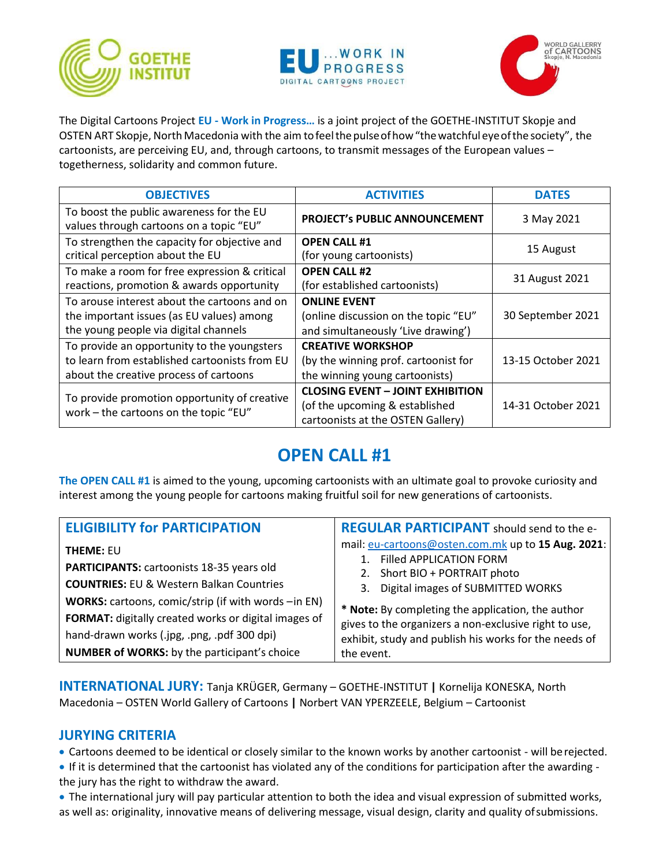





The Digital Cartoons Project **EU - Work in Progress…** is a joint project of the GOETHE-INSTITUT Skopje and OSTEN ART Skopje, North Macedonia with the aim tofeelthe pulseofhow"thewatchful eyeofthe society", the cartoonists, are perceiving EU, and, through cartoons, to transmit messages of the European values – togetherness, solidarity and common future.

| <b>OBJECTIVES</b>                                                                                                                      | <b>ACTIVITIES</b>                                                                                              | <b>DATES</b>       |
|----------------------------------------------------------------------------------------------------------------------------------------|----------------------------------------------------------------------------------------------------------------|--------------------|
| To boost the public awareness for the EU<br>values through cartoons on a topic "EU"                                                    | PROJECT's PUBLIC ANNOUNCEMENT                                                                                  | 3 May 2021         |
| To strengthen the capacity for objective and<br>critical perception about the EU                                                       | <b>OPEN CALL #1</b><br>(for young cartoonists)                                                                 | 15 August          |
| To make a room for free expression & critical<br>reactions, promotion & awards opportunity                                             | <b>OPEN CALL #2</b><br>(for established cartoonists)                                                           | 31 August 2021     |
| To arouse interest about the cartoons and on<br>the important issues (as EU values) among<br>the young people via digital channels     | <b>ONLINE EVENT</b><br>(online discussion on the topic "EU"<br>and simultaneously 'Live drawing')              | 30 September 2021  |
| To provide an opportunity to the youngsters<br>to learn from established cartoonists from EU<br>about the creative process of cartoons | <b>CREATIVE WORKSHOP</b><br>(by the winning prof. cartoonist for<br>the winning young cartoonists)             | 13-15 October 2021 |
| To provide promotion opportunity of creative<br>work - the cartoons on the topic "EU"                                                  | <b>CLOSING EVENT - JOINT EXHIBITION</b><br>(of the upcoming & established<br>cartoonists at the OSTEN Gallery) | 14-31 October 2021 |

## **OPEN CALL #1**

**The OPEN CALL #1** is aimed to the young, upcoming cartoonists with an ultimate goal to provoke curiosity and interest among the young people for cartoons making fruitful soil for new generations of cartoonists.

| <b>ELIGIBILITY for PARTICIPATION</b>                                                                                                                                                                       | <b>REGULAR PARTICIPANT</b> should send to the e-                                                                                                                                  |
|------------------------------------------------------------------------------------------------------------------------------------------------------------------------------------------------------------|-----------------------------------------------------------------------------------------------------------------------------------------------------------------------------------|
| <b>THEME: EU</b><br>PARTICIPANTS: cartoonists 18-35 years old<br><b>COUNTRIES: EU &amp; Western Balkan Countries</b>                                                                                       | mail: eu-cartoons@osten.com.mk up to 15 Aug. 2021:<br>Filled APPLICATION FORM<br>2. Short BIO + PORTRAIT photo<br>3. Digital images of SUBMITTED WORKS                            |
| WORKS: cartoons, comic/strip (if with words -in EN)<br>FORMAT: digitally created works or digital images of<br>hand-drawn works (.jpg, .png, .pdf 300 dpi)<br>NUMBER of WORKS: by the participant's choice | * Note: By completing the application, the author<br>gives to the organizers a non-exclusive right to use,<br>exhibit, study and publish his works for the needs of<br>the event. |

**INTERNATIONAL JURY:** Tanja KRÜGER, Germany – GOETHE-INSTITUT **|** Kornelija KONESKA, North Macedonia – OSTEN World Gallery of Cartoons **|** Norbert VAN YPERZEELE, Belgium – Cartoonist

## **JURYING CRITERIA**

• Cartoons deemed to be identical or closely similar to the known works by another cartoonist - will berejected.

- If it is determined that the cartoonist has violated any of the conditions for participation after the awarding the jury has the right to withdraw the award.
- The international jury will pay particular attention to both the idea and visual expression of submitted works, as well as: originality, innovative means of delivering message, visual design, clarity and quality ofsubmissions.